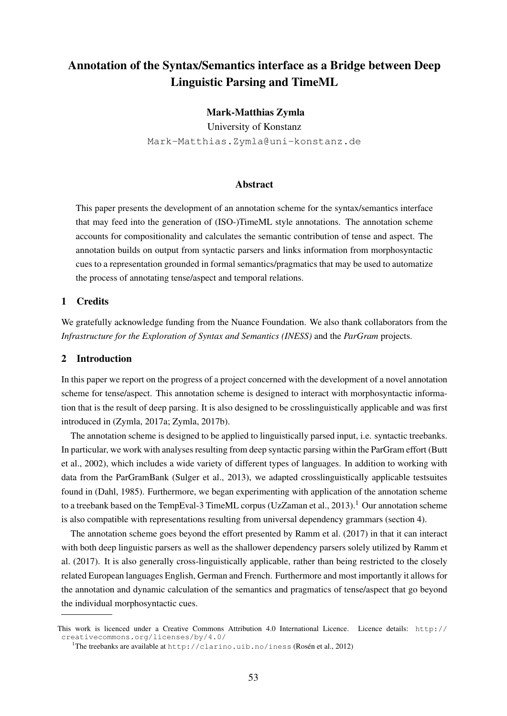# Annotation of the Syntax/Semantics interface as a Bridge between Deep Linguistic Parsing and TimeML

## Mark-Matthias Zymla

University of Konstanz Mark-Matthias.Zymla@uni-konstanz.de

### Abstract

This paper presents the development of an annotation scheme for the syntax/semantics interface that may feed into the generation of (ISO-)TimeML style annotations. The annotation scheme accounts for compositionality and calculates the semantic contribution of tense and aspect. The annotation builds on output from syntactic parsers and links information from morphosyntactic cues to a representation grounded in formal semantics/pragmatics that may be used to automatize the process of annotating tense/aspect and temporal relations.

## 1 Credits

We gratefully acknowledge funding from the Nuance Foundation. We also thank collaborators from the *Infrastructure for the Exploration of Syntax and Semantics (INESS)* and the *ParGram* projects.

## 2 Introduction

In this paper we report on the progress of a project concerned with the development of a novel annotation scheme for tense/aspect. This annotation scheme is designed to interact with morphosyntactic information that is the result of deep parsing. It is also designed to be crosslinguistically applicable and was first introduced in (Zymla, 2017a; Zymla, 2017b).

The annotation scheme is designed to be applied to linguistically parsed input, i.e. syntactic treebanks. In particular, we work with analyses resulting from deep syntactic parsing within the ParGram effort (Butt et al., 2002), which includes a wide variety of different types of languages. In addition to working with data from the ParGramBank (Sulger et al., 2013), we adapted crosslinguistically applicable testsuites found in (Dahl, 1985). Furthermore, we began experimenting with application of the annotation scheme to a treebank based on the TempEval-3 TimeML corpus (UzZaman et al., 2013).<sup>1</sup> Our annotation scheme is also compatible with representations resulting from universal dependency grammars (section 4).

The annotation scheme goes beyond the effort presented by Ramm et al. (2017) in that it can interact with both deep linguistic parsers as well as the shallower dependency parsers solely utilized by Ramm et al. (2017). It is also generally cross-linguistically applicable, rather than being restricted to the closely related European languages English, German and French. Furthermore and most importantly it allows for the annotation and dynamic calculation of the semantics and pragmatics of tense/aspect that go beyond the individual morphosyntactic cues.

This work is licenced under a Creative Commons Attribution 4.0 International Licence. Licence details: http:// creativecommons.org/licenses/by/4.0/

<sup>&</sup>lt;sup>1</sup>The treebanks are available at http://clarino.uib.no/iness (Rosén et al., 2012)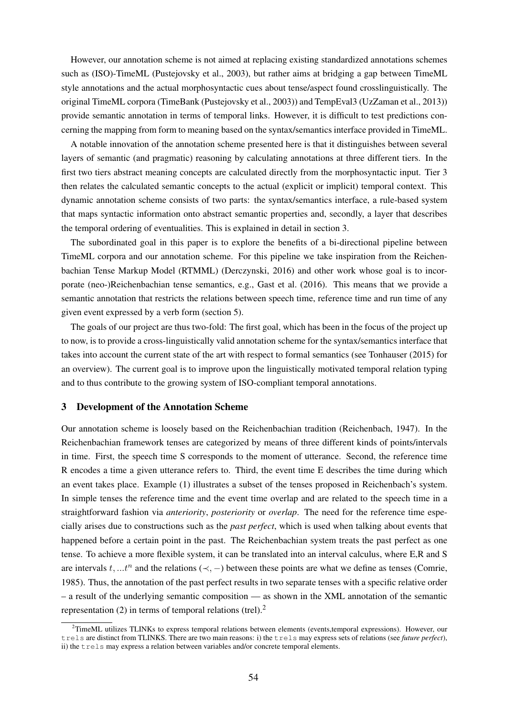However, our annotation scheme is not aimed at replacing existing standardized annotations schemes such as (ISO)-TimeML (Pustejovsky et al., 2003), but rather aims at bridging a gap between TimeML style annotations and the actual morphosyntactic cues about tense/aspect found crosslinguistically. The original TimeML corpora (TimeBank (Pustejovsky et al., 2003)) and TempEval3 (UzZaman et al., 2013)) provide semantic annotation in terms of temporal links. However, it is difficult to test predictions concerning the mapping from form to meaning based on the syntax/semantics interface provided in TimeML.

A notable innovation of the annotation scheme presented here is that it distinguishes between several layers of semantic (and pragmatic) reasoning by calculating annotations at three different tiers. In the first two tiers abstract meaning concepts are calculated directly from the morphosyntactic input. Tier 3 then relates the calculated semantic concepts to the actual (explicit or implicit) temporal context. This dynamic annotation scheme consists of two parts: the syntax/semantics interface, a rule-based system that maps syntactic information onto abstract semantic properties and, secondly, a layer that describes the temporal ordering of eventualities. This is explained in detail in section 3.

The subordinated goal in this paper is to explore the benefits of a bi-directional pipeline between TimeML corpora and our annotation scheme. For this pipeline we take inspiration from the Reichenbachian Tense Markup Model (RTMML) (Derczynski, 2016) and other work whose goal is to incorporate (neo-)Reichenbachian tense semantics, e.g., Gast et al. (2016). This means that we provide a semantic annotation that restricts the relations between speech time, reference time and run time of any given event expressed by a verb form (section 5).

The goals of our project are thus two-fold: The first goal, which has been in the focus of the project up to now, is to provide a cross-linguistically valid annotation scheme for the syntax/semantics interface that takes into account the current state of the art with respect to formal semantics (see Tonhauser (2015) for an overview). The current goal is to improve upon the linguistically motivated temporal relation typing and to thus contribute to the growing system of ISO-compliant temporal annotations.

#### 3 Development of the Annotation Scheme

Our annotation scheme is loosely based on the Reichenbachian tradition (Reichenbach, 1947). In the Reichenbachian framework tenses are categorized by means of three different kinds of points/intervals in time. First, the speech time S corresponds to the moment of utterance. Second, the reference time R encodes a time a given utterance refers to. Third, the event time E describes the time during which an event takes place. Example (1) illustrates a subset of the tenses proposed in Reichenbach's system. In simple tenses the reference time and the event time overlap and are related to the speech time in a straightforward fashion via *anteriority*, *posteriority* or *overlap*. The need for the reference time especially arises due to constructions such as the *past perfect*, which is used when talking about events that happened before a certain point in the past. The Reichenbachian system treats the past perfect as one tense. To achieve a more flexible system, it can be translated into an interval calculus, where E,R and S are intervals  $t, ...t^n$  and the relations  $(\prec, -)$  between these points are what we define as tenses (Comrie, 1985). Thus, the annotation of the past perfect results in two separate tenses with a specific relative order – a result of the underlying semantic composition — as shown in the XML annotation of the semantic representation (2) in terms of temporal relations (trel).<sup>2</sup>

<sup>&</sup>lt;sup>2</sup>TimeML utilizes TLINKs to express temporal relations between elements (events,temporal expressions). However, our trels are distinct from TLINKS. There are two main reasons: i) the trels may express sets of relations (see *future perfect*), ii) the trels may express a relation between variables and/or concrete temporal elements.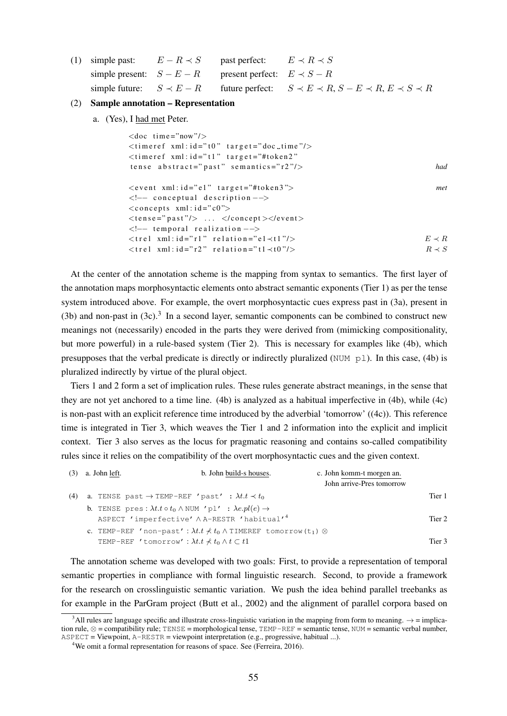(1) simple past:  $E - R \prec S$ simple present:  $S - E - R$ simple future:  $S \prec E - R$ past perfect:  $E \prec R \prec S$ present perfect:  $E \prec S - R$ future perfect:  $S \prec E \prec R$ ,  $S - E \prec R$ ,  $E \prec S \prec R$ 

### (2) Sample annotation – Representation

a. (Yes), I had met Peter.

| $<$ doc time="now"/ $>$                                        |             |
|----------------------------------------------------------------|-------------|
| $\langle$ timeref xml:id="t0" target="doc_time"/>              |             |
| $\lt$ timeref xml:id="t1" target="#token2"                     |             |
| tense abstract="past" semantics=" $r2$ "/>                     | had         |
| $\langle$ event xml:id="el" target="#token3">                  | met         |
| $\langle - $ conceptual description $\rightarrow$              |             |
| $\langle$ concepts xml: $id = "c0"$                            |             |
| $\langle$ tense="past"/> $\langle$ /concept> $\langle$ /event> |             |
| $\langle - $ temporal realization $-\rangle$                   |             |
| $\langle$ trel xml:id="rl" relation="el $\langle$ tl"/>        | $E \prec R$ |
| $\langle$ trel xml:id="r2" relation="t1 $\langle$ t0"/>        | $R \prec S$ |
|                                                                |             |

At the center of the annotation scheme is the mapping from syntax to semantics. The first layer of the annotation maps morphosyntactic elements onto abstract semantic exponents (Tier 1) as per the tense system introduced above. For example, the overt morphosyntactic cues express past in (3a), present in (3b) and non-past in  $(3c)$ .<sup>3</sup> In a second layer, semantic components can be combined to construct new meanings not (necessarily) encoded in the parts they were derived from (mimicking compositionality, but more powerful) in a rule-based system (Tier 2). This is necessary for examples like (4b), which presupposes that the verbal predicate is directly or indirectly pluralized (NUM pl). In this case, (4b) is pluralized indirectly by virtue of the plural object.

Tiers 1 and 2 form a set of implication rules. These rules generate abstract meanings, in the sense that they are not yet anchored to a time line. (4b) is analyzed as a habitual imperfective in (4b), while (4c) is non-past with an explicit reference time introduced by the adverbial 'tomorrow' ((4c)). This reference time is integrated in Tier 3, which weaves the Tier 1 and 2 information into the explicit and implicit context. Tier 3 also serves as the locus for pragmatic reasoning and contains so-called compatibility rules since it relies on the compatibility of the overt morphosyntactic cues and the given context.

|     | $(3)$ a. John left. | b. John build-s houses.                                                                                                                                                               | c. John komm-t morgen an. |  |
|-----|---------------------|---------------------------------------------------------------------------------------------------------------------------------------------------------------------------------------|---------------------------|--|
|     |                     |                                                                                                                                                                                       | John arrive-Pres tomorrow |  |
| (4) |                     | a. TENSE past $\rightarrow$ TEMP-REF 'past' : $\lambda t \cdot t \prec t_0$                                                                                                           | Tier 1                    |  |
|     |                     | <b>b.</b> TENSE pres: $\lambda t . t \circ t_0 \wedge \text{NUM } 'p1'$ : $\lambda e. pl(e) \rightarrow$<br>ASPECT 'imperfective' A A-RESTR 'habitual' <sup>4</sup>                   | Tier 2                    |  |
|     |                     | c. TEMP-REF 'non-past': $\lambda t \cdot t \nless t_0 \wedge$ TIMEREF tomorrow (t <sub>1</sub> ) $\otimes$<br>TEMP-REF 'tomorrow': $\lambda t \cdot t \nless t_0 \wedge t \subset t1$ | Tier <sub>3</sub>         |  |

The annotation scheme was developed with two goals: First, to provide a representation of temporal semantic properties in compliance with formal linguistic research. Second, to provide a framework for the research on crosslinguistic semantic variation. We push the idea behind parallel treebanks as for example in the ParGram project (Butt et al., 2002) and the alignment of parallel corpora based on

<sup>&</sup>lt;sup>3</sup>All rules are language specific and illustrate cross-linguistic variation in the mapping from form to meaning.  $\rightarrow$  = implication rule,  $\otimes$  = compatibility rule; TENSE = morphological tense, TEMP-REF = semantic tense, NUM = semantic verbal number, ASPECT = Viewpoint, A-RESTR = viewpoint interpretation (e.g., progressive, habitual ...).

<sup>&</sup>lt;sup>4</sup>We omit a formal representation for reasons of space. See (Ferreira, 2016).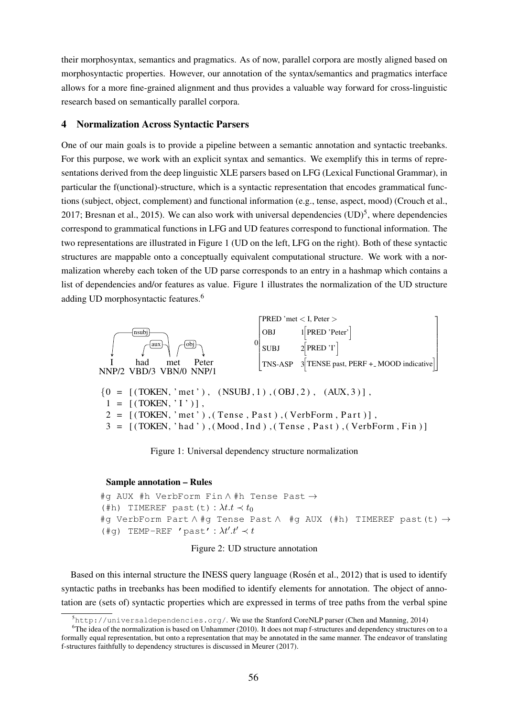their morphosyntax, semantics and pragmatics. As of now, parallel corpora are mostly aligned based on morphosyntactic properties. However, our annotation of the syntax/semantics and pragmatics interface allows for a more fine-grained alignment and thus provides a valuable way forward for cross-linguistic research based on semantically parallel corpora.

#### 4 Normalization Across Syntactic Parsers

One of our main goals is to provide a pipeline between a semantic annotation and syntactic treebanks. For this purpose, we work with an explicit syntax and semantics. We exemplify this in terms of representations derived from the deep linguistic XLE parsers based on LFG (Lexical Functional Grammar), in particular the f(unctional)-structure, which is a syntactic representation that encodes grammatical functions (subject, object, complement) and functional information (e.g., tense, aspect, mood) (Crouch et al., 2017; Bresnan et al., 2015). We can also work with universal dependencies  $(UD)^5$ , where dependencies correspond to grammatical functions in LFG and UD features correspond to functional information. The two representations are illustrated in Figure 1 (UD on the left, LFG on the right). Both of these syntactic structures are mappable onto a conceptually equivalent computational structure. We work with a normalization whereby each token of the UD parse corresponds to an entry in a hashmap which contains a list of dependencies and/or features as value. Figure 1 illustrates the normalization of the UD structure adding UD morphosyntactic features.6



Figure 1: Universal dependency structure normalization

#### Sample annotation – Rules

```
#q AUX #h VerbForm Fin \wedge #h Tense Past \rightarrow(#h) TIMEREF past(t): \lambda t \cdot t \prec t_0#g VerbForm Part \wedge #g Tense Past \wedge #g AUX (#h) TIMEREF past(t) \rightarrow(#g) TEMP-REF 'past': \lambda t'.t' \prec t
```
Figure 2: UD structure annotation

Based on this internal structure the INESS query language (Rosén et al., 2012) that is used to identify syntactic paths in treebanks has been modified to identify elements for annotation. The object of annotation are (sets of) syntactic properties which are expressed in terms of tree paths from the verbal spine

<sup>5</sup> http://universaldependencies.org/. We use the Stanford CoreNLP parser (Chen and Manning, 2014)

<sup>&</sup>lt;sup>6</sup>The idea of the normalization is based on Unhammer (2010). It does not map f-structures and dependency structures on to a formally equal representation, but onto a representation that may be annotated in the same manner. The endeavor of translating f-structures faithfully to dependency structures is discussed in Meurer (2017).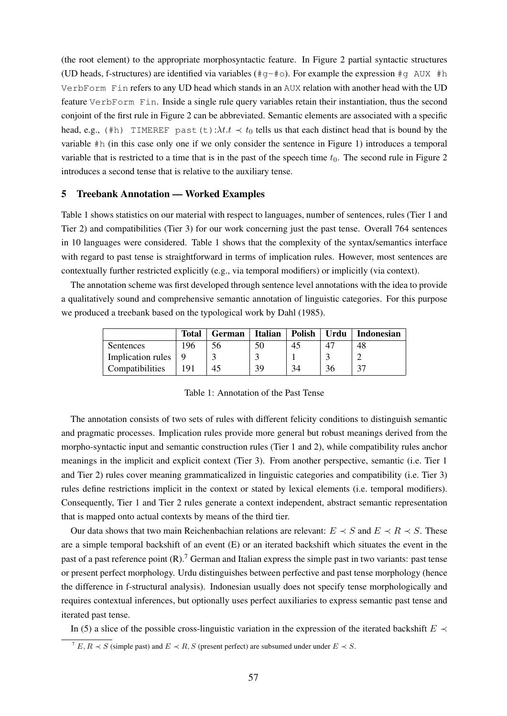(the root element) to the appropriate morphosyntactic feature. In Figure 2 partial syntactic structures (UD heads, f-structures) are identified via variables ( $\#q-\#o$ ). For example the expression  $\#q$  AUX  $\#h$ VerbForm Fin refers to any UD head which stands in an AUX relation with another head with the UD feature VerbForm Fin. Inside a single rule query variables retain their instantiation, thus the second conjoint of the first rule in Figure 2 can be abbreviated. Semantic elements are associated with a specific head, e.g., (#h) TIMEREF past(t): $\lambda t \cdot t \prec t_0$  tells us that each distinct head that is bound by the variable #h (in this case only one if we only consider the sentence in Figure 1) introduces a temporal variable that is restricted to a time that is in the past of the speech time  $t_0$ . The second rule in Figure 2 introduces a second tense that is relative to the auxiliary tense.

#### 5 Treebank Annotation — Worked Examples

Table 1 shows statistics on our material with respect to languages, number of sentences, rules (Tier 1 and Tier 2) and compatibilities (Tier 3) for our work concerning just the past tense. Overall 764 sentences in 10 languages were considered. Table 1 shows that the complexity of the syntax/semantics interface with regard to past tense is straightforward in terms of implication rules. However, most sentences are contextually further restricted explicitly (e.g., via temporal modifiers) or implicitly (via context).

The annotation scheme was first developed through sentence level annotations with the idea to provide a qualitatively sound and comprehensive semantic annotation of linguistic categories. For this purpose we produced a treebank based on the typological work by Dahl (1985).

|                                     | Total | <b>German</b> | <b>Italian</b> | <b>Polish</b> | Urdu | <b>Indonesian</b> |
|-------------------------------------|-------|---------------|----------------|---------------|------|-------------------|
| Sentences                           | 196   |               | 50             | 45            |      | 48                |
| Implication rules $\vert 9 \rangle$ |       |               |                |               |      |                   |
| Compatibilities                     |       |               | 39             | 34            | 36   |                   |

Table 1: Annotation of the Past Tense

The annotation consists of two sets of rules with different felicity conditions to distinguish semantic and pragmatic processes. Implication rules provide more general but robust meanings derived from the morpho-syntactic input and semantic construction rules (Tier 1 and 2), while compatibility rules anchor meanings in the implicit and explicit context (Tier 3). From another perspective, semantic (i.e. Tier 1 and Tier 2) rules cover meaning grammaticalized in linguistic categories and compatibility (i.e. Tier 3) rules define restrictions implicit in the context or stated by lexical elements (i.e. temporal modifiers). Consequently, Tier 1 and Tier 2 rules generate a context independent, abstract semantic representation that is mapped onto actual contexts by means of the third tier.

Our data shows that two main Reichenbachian relations are relevant:  $E \prec S$  and  $E \prec R \prec S$ . These are a simple temporal backshift of an event (E) or an iterated backshift which situates the event in the past of a past reference point  $(R)$ .<sup>7</sup> German and Italian express the simple past in two variants: past tense or present perfect morphology. Urdu distinguishes between perfective and past tense morphology (hence the difference in f-structural analysis). Indonesian usually does not specify tense morphologically and requires contextual inferences, but optionally uses perfect auxiliaries to express semantic past tense and iterated past tense.

In (5) a slice of the possible cross-linguistic variation in the expression of the iterated backshift  $E \prec$ 

 $\overline{Y}$  E,  $R \prec S$  (simple past) and  $E \prec R$ , S (present perfect) are subsumed under under  $E \prec S$ .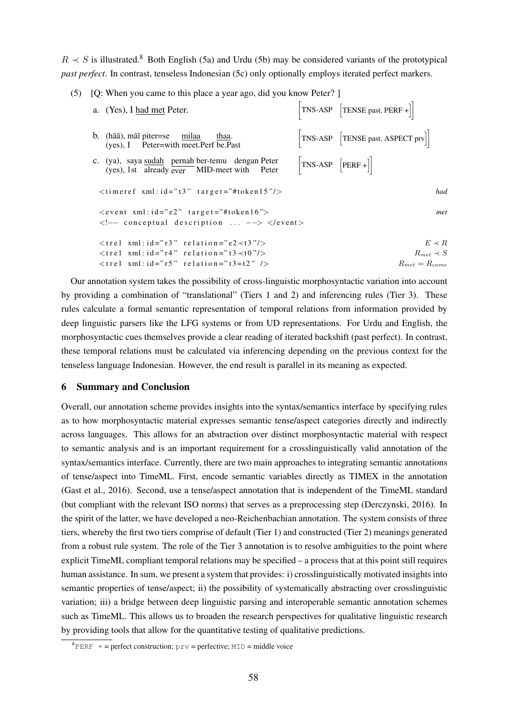$R \prec S$  is illustrated.<sup>8</sup> Both English (5a) and Urdu (5b) may be considered variants of the prototypical *past perfect*. In contrast, tenseless Indonesian (5c) only optionally employs iterated perfect markers.

| a. (Yes), I had met Peter.                                                                                                    |                                                                                | $\begin{bmatrix} \text{TNS-ASP} \\ \end{bmatrix}$ [TENSE past, PERF +]           |
|-------------------------------------------------------------------------------------------------------------------------------|--------------------------------------------------------------------------------|----------------------------------------------------------------------------------|
| b. (hãã), mãi piter=se milaa<br>thaa.<br>$(yes)$ , I Peter=with meet. Perf be. Past                                           |                                                                                | $\begin{bmatrix} \text{TNS-ASP} & \text{[TENSE past, ASPECT prv]} \end{bmatrix}$ |
| c. (ya), saya sudah pernah ber-temu dengan Peter<br>(yes), 1st already $\overline{ever}$ MID-meet with Peter                  | $\begin{bmatrix} TNS-ASP \end{bmatrix}$ $\begin{bmatrix} PERF + \end{bmatrix}$ |                                                                                  |
| $\lt$ timeref xml:id="t3" target="#token15"/>                                                                                 |                                                                                | had                                                                              |
| $\le$ event xml: id="e2" target="#token16"><br>$\langle -\rangle$ conceptual description $\langle -\rangle$ $\langle$ /event> |                                                                                | met                                                                              |
| $\langle$ trel xml:id="r3" relation="e2 $\prec$ t3"/>                                                                         |                                                                                | $E \prec R$                                                                      |
| $\langle$ trel xml:id="r4" relation="t3 $\langle$ t0"/ $\rangle$                                                              |                                                                                | $R_{met} \prec S$                                                                |
| $\langle$ trel xml:id="r5" relation="t3=t2" />                                                                                |                                                                                | $R_{met} = R_{came}$                                                             |

(5) [Q: When you came to this place a year ago, did you know Peter? ]

Our annotation system takes the possibility of cross-linguistic morphosyntactic variation into account by providing a combination of "translational" (Tiers 1 and 2) and inferencing rules (Tier 3). These rules calculate a formal semantic representation of temporal relations from information provided by deep linguistic parsers like the LFG systems or from UD representations. For Urdu and English, the morphosyntactic cues themselves provide a clear reading of iterated backshift (past perfect). In contrast, these temporal relations must be calculated via inferencing depending on the previous context for the tenseless language Indonesian. However, the end result is parallel in its meaning as expected.

#### 6 Summary and Conclusion

Overall, our annotation scheme provides insights into the syntax/semantics interface by specifying rules as to how morphosyntactic material expresses semantic tense/aspect categories directly and indirectly across languages. This allows for an abstraction over distinct morphosyntactic material with respect to semantic analysis and is an important requirement for a crosslinguistically valid annotation of the syntax/semantics interface. Currently, there are two main approaches to integrating semantic annotations of tense/aspect into TimeML. First, encode semantic variables directly as TIMEX in the annotation (Gast et al., 2016). Second, use a tense/aspect annotation that is independent of the TimeML standard (but compliant with the relevant ISO norms) that serves as a preprocessing step (Derczynski, 2016). In the spirit of the latter, we have developed a neo-Reichenbachian annotation. The system consists of three tiers, whereby the first two tiers comprise of default (Tier 1) and constructed (Tier 2) meanings generated from a robust rule system. The role of the Tier 3 annotation is to resolve ambiguities to the point where explicit TimeML compliant temporal relations may be specified – a process that at this point still requires human assistance. In sum, we present a system that provides: i) crosslinguistically motivated insights into semantic properties of tense/aspect; ii) the possibility of systematically abstracting over crosslinguistic variation; iii) a bridge between deep linguistic parsing and interoperable semantic annotation schemes such as TimeML. This allows us to broaden the research perspectives for qualitative linguistic research by providing tools that allow for the quantitative testing of qualitative predictions.

<sup>&</sup>lt;sup>8</sup>PERF + = perfect construction;  $prv$  = perfective; MID = middle voice